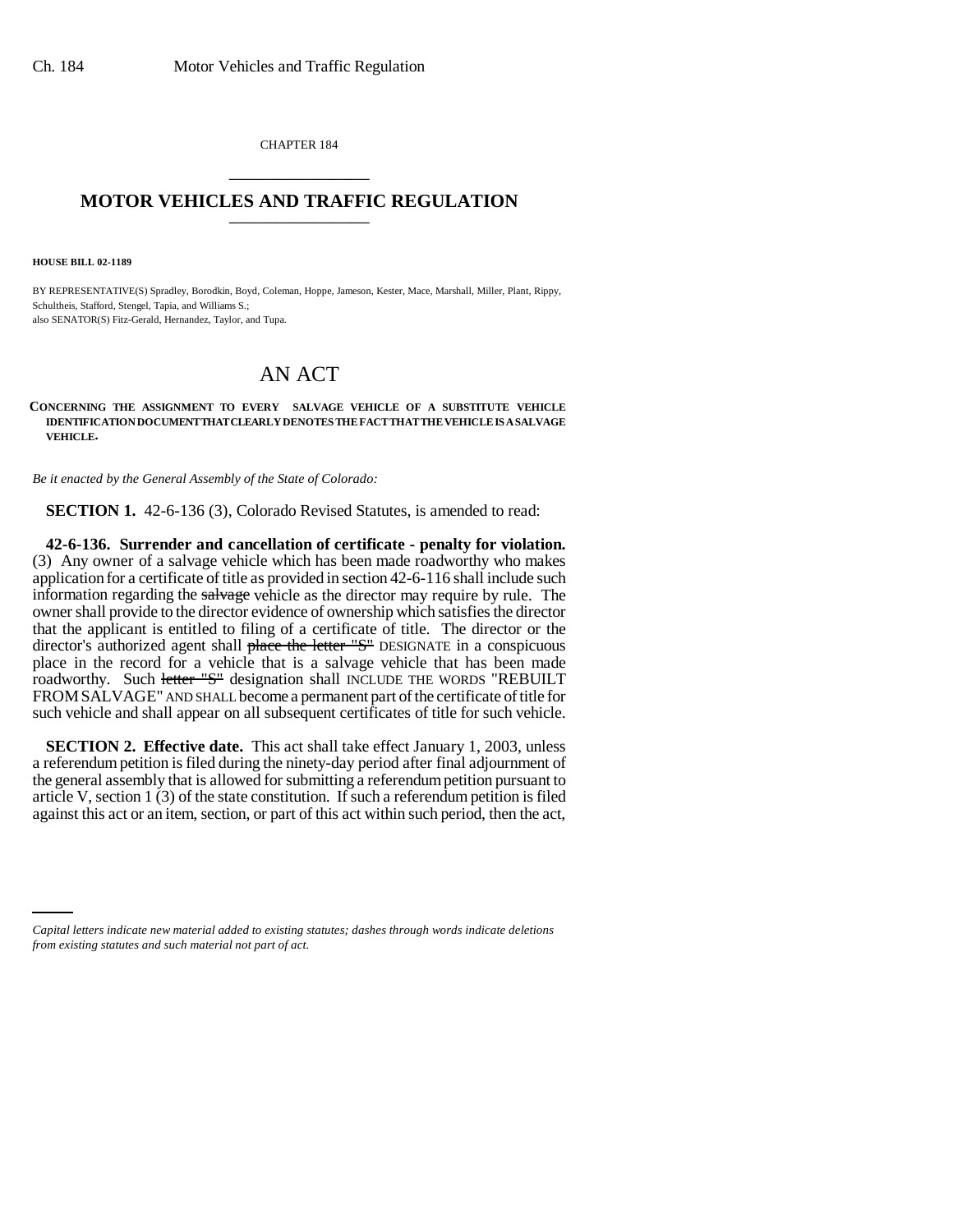CHAPTER 184 \_\_\_\_\_\_\_\_\_\_\_\_\_\_\_

## **MOTOR VEHICLES AND TRAFFIC REGULATION** \_\_\_\_\_\_\_\_\_\_\_\_\_\_\_

**HOUSE BILL 02-1189**

BY REPRESENTATIVE(S) Spradley, Borodkin, Boyd, Coleman, Hoppe, Jameson, Kester, Mace, Marshall, Miller, Plant, Rippy, Schultheis, Stafford, Stengel, Tapia, and Williams S.; also SENATOR(S) Fitz-Gerald, Hernandez, Taylor, and Tupa.

## AN ACT

## **CONCERNING THE ASSIGNMENT TO EVERY SALVAGE VEHICLE OF A SUBSTITUTE VEHICLE IDENTIFICATION DOCUMENT THAT CLEARLY DENOTES THE FACT THAT THE VEHICLE IS A SALVAGE VEHICLE.**

*Be it enacted by the General Assembly of the State of Colorado:*

**SECTION 1.** 42-6-136 (3), Colorado Revised Statutes, is amended to read:

**42-6-136. Surrender and cancellation of certificate - penalty for violation.** (3) Any owner of a salvage vehicle which has been made roadworthy who makes application for a certificate of title as provided in section 42-6-116 shall include such information regarding the salvage vehicle as the director may require by rule. The owner shall provide to the director evidence of ownership which satisfies the director that the applicant is entitled to filing of a certificate of title. The director or the director's authorized agent shall place the letter "S" DESIGNATE in a conspicuous place in the record for a vehicle that is a salvage vehicle that has been made roadworthy. Such letter "S" designation shall INCLUDE THE WORDS "REBUILT FROMSALVAGE" AND SHALL become a permanent part of the certificate of title for such vehicle and shall appear on all subsequent certificates of title for such vehicle.

**SECTION 2. Effective date.** This act shall take effect January 1, 2003, unless a referendum petition is filed during the ninety-day period after final adjournment of the general assembly that is allowed for submitting a referendum petition pursuant to article V, section 1 (3) of the state constitution. If such a referendum petition is filed against this act or an item, section, or part of this act within such period, then the act,

*Capital letters indicate new material added to existing statutes; dashes through words indicate deletions from existing statutes and such material not part of act.*